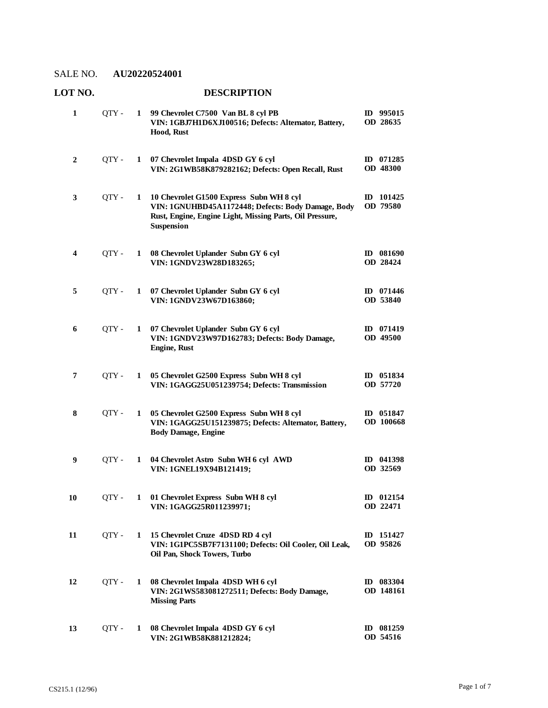## **LOT NO. DESCRIPTION**

| 1  | QTY - | 1 | 99 Chevrolet C7500 Van BL 8 cyl PB<br>VIN: 1GBJ7H1D6XJ100516; Defects: Alternator, Battery,<br>Hood, Rust                                                                       | ID 995015<br>OD 28635              |
|----|-------|---|---------------------------------------------------------------------------------------------------------------------------------------------------------------------------------|------------------------------------|
| 2  | QTY - | 1 | 07 Chevrolet Impala 4DSD GY 6 cyl<br>VIN: 2G1WB58K879282162; Defects: Open Recall, Rust                                                                                         | ID 071285<br><b>OD 48300</b>       |
| 3  | QTY - | 1 | 10 Chevrolet G1500 Express Subn WH 8 cyl<br>VIN: 1GNUHBD45A1172448; Defects: Body Damage, Body<br>Rust, Engine, Engine Light, Missing Parts, Oil Pressure,<br><b>Suspension</b> | ID 101425<br>OD 79580              |
| 4  | QTY-  | 1 | 08 Chevrolet Uplander Subn GY 6 cyl<br>VIN: 1GNDV23W28D183265;                                                                                                                  | ID 081690<br>OD 28424              |
| 5  | QTY - | 1 | 07 Chevrolet Uplander Subn GY 6 cyl<br>VIN: 1GNDV23W67D163860;                                                                                                                  | ID 071446<br>OD 53840              |
| 6  | QTY - | 1 | 07 Chevrolet Uplander Subn GY 6 cyl<br>VIN: 1GNDV23W97D162783; Defects: Body Damage,<br><b>Engine, Rust</b>                                                                     | ID 071419<br><b>OD 49500</b>       |
| 7  | QTY - | 1 | 05 Chevrolet G2500 Express Subn WH 8 cyl<br>VIN: 1GAGG25U051239754; Defects: Transmission                                                                                       | ID 051834<br>OD 57720              |
| 8  | QTY - | 1 | 05 Chevrolet G2500 Express Subn WH 8 cyl<br>VIN: 1GAGG25U151239875; Defects: Alternator, Battery,<br><b>Body Damage, Engine</b>                                                 | ID 051847<br><b>OD</b> 100668      |
| 9  | OTY - | 1 | 04 Chevrolet Astro Subn WH 6 cyl AWD<br>VIN: 1GNEL19X94B121419;                                                                                                                 | ID 041398<br>OD 32569              |
| 10 | OTY - | 1 | 01 Chevrolet Express Subn WH 8 cyl<br>VIN: 1GAGG25R011239971;                                                                                                                   | $ID$ 012154<br>OD 22471            |
| 11 | QTY - | 1 | 15 Chevrolet Cruze 4DSD RD 4 cyl<br>VIN: 1G1PC5SB7F7131100; Defects: Oil Cooler, Oil Leak,<br>Oil Pan, Shock Towers, Turbo                                                      | ID 151427<br>OD 95826              |
| 12 | QTY - | 1 | 08 Chevrolet Impala 4DSD WH 6 cyl<br>VIN: 2G1WS583081272511; Defects: Body Damage,<br><b>Missing Parts</b>                                                                      | ID 083304<br>OD 148161             |
| 13 | QTY - | 1 | 08 Chevrolet Impala 4DSD GY 6 cyl<br>VIN: 2G1WB58K881212824;                                                                                                                    | 081259<br>$\mathbf{D}$<br>OD 54516 |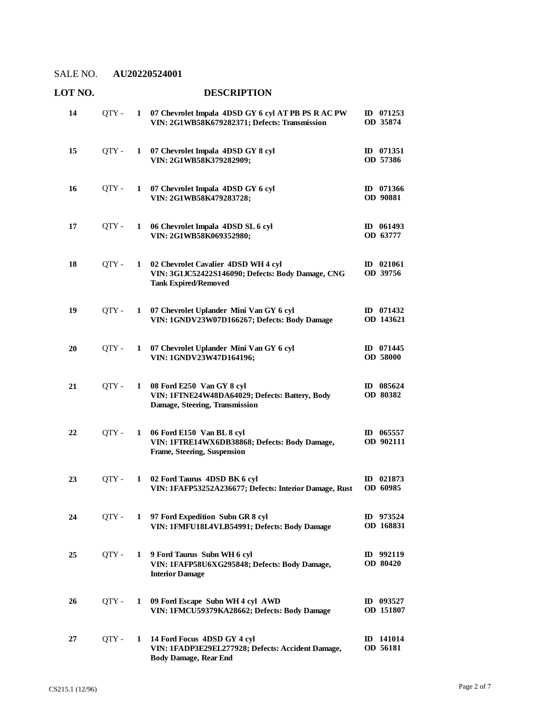#### **07 Chevrolet Impala 4DSD GY 6 cyl AT PB PS R AC PW**  QTY - **1 ID 071253 VIN: 2G1WB58K679282371; Defects: Transmission OD 35874 14 07 Chevrolet Impala 4DSD GY 8 cyl**  QTY - **1 ID 071351 VIN: 2G1WB58K379282909; OD 57386 15 07 Chevrolet Impala 4DSD GY 6 cyl**  QTY - **1 ID 071366 VIN: 2G1WB58K479283728; OD 90881 16 06 Chevrolet Impala 4DSD SL 6 cyl**  QTY - **1 ID 061493 VIN: 2G1WB58K069352980; OD 63777 17 02 Chevrolet Cavalier 4DSD WH 4 cyl**  QTY - **1 ID 021061 VIN: 3G1JC52422S146090; Defects: Body Damage, CNG Tank Expired/Removed OD 39756 18 07 Chevrolet Uplander Mini Van GY 6 cyl**  QTY - **1 ID 071432 VIN: 1GNDV23W07D166267; Defects: Body Damage OD 143621 19 07 Chevrolet Uplander Mini Van GY 6 cyl**  QTY - **1 ID 071445 VIN: 1GNDV23W47D164196; OD 58000 20 08 Ford E250 Van GY 8 cyl**  QTY - **1 ID 085624 VIN: 1FTNE24W48DA64029; Defects: Battery, Body Damage, Steering, Transmission OD 80382 21 06 Ford E150 Van BL 8 cyl**  QTY - **1 ID 065557 VIN: 1FTRE14WX6DB38868; Defects: Body Damage, Frame, Steering, Suspension OD 902111 22 02 Ford Taurus 4DSD BK 6 cyl**  QTY - **1 ID 021873 VIN: 1FAFP53252A236677; Defects: Interior Damage, Rust OD 60985 23 97 Ford Expedition Subn GR 8 cyl**  QTY - **1 ID 973524 VIN: 1FMFU18L4VLB54991; Defects: Body Damage OD 168831 24 9 Ford Taurus Subn WH 6 cyl**  QTY - **1 ID 992119 VIN: 1FAFP58U6XG295848; Defects: Body Damage, Interior Damage OD 80420 25 09 Ford Escape Subn WH 4 cyl AWD**  QTY - **1 ID 093527 VIN: 1FMCU59379KA28662; Defects: Body Damage OD 151807 26 14 Ford Focus 4DSD GY 4 cyl**  QTY - **1 ID 141014 VIN: 1FADP3E29EL277928; Defects: Accident Damage, Body Damage, Rear End OD 56181 27**

## **LOT NO. DESCRIPTION**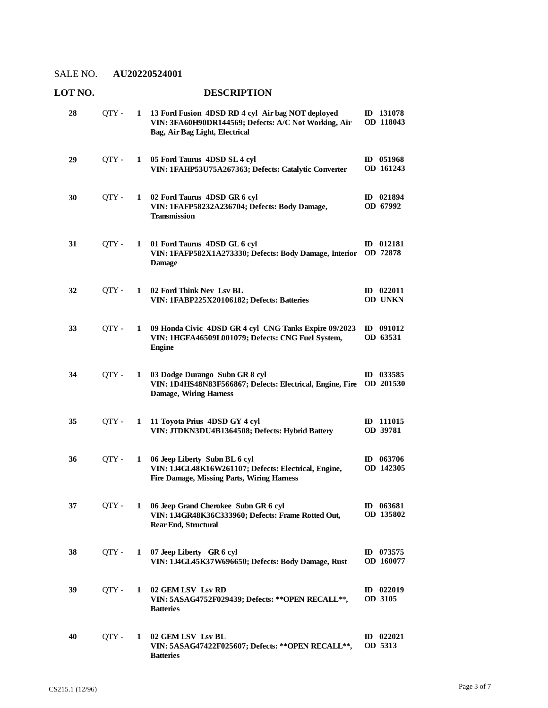# **LOT NO. DESCRIPTION**

| 28 | QTY - | 1            | 13 Ford Fusion 4DSD RD 4 cyl Air bag NOT deployed<br>VIN: 3FA60H90DR144569; Defects: A/C Not Working, Air<br><b>Bag, Air Bag Light, Electrical</b> | ID 131078<br>OD 118043 |
|----|-------|--------------|----------------------------------------------------------------------------------------------------------------------------------------------------|------------------------|
| 29 | QTY-  | 1            | 05 Ford Taurus 4DSD SL 4 cyl<br>VIN: 1FAHP53U75A267363; Defects: Catalytic Converter                                                               | ID 051968<br>OD 161243 |
| 30 | QTY - | 1            | 02 Ford Taurus 4DSD GR 6 cyl<br>VIN: 1FAFP58232A236704; Defects: Body Damage,<br><b>Transmission</b>                                               | ID 021894<br>OD 67992  |
| 31 | QTY - | 1            | 01 Ford Taurus 4DSD GL 6 cyl<br>VIN: 1FAFP582X1A273330; Defects: Body Damage, Interior<br><b>Damage</b>                                            | ID 012181<br>OD 72878  |
| 32 | OTY - | 1            | 02 Ford Think Nev Lsv BL<br>VIN: 1FABP225X20106182; Defects: Batteries                                                                             | ID 022011<br>OD UNKN   |
| 33 | QTY - | 1            | 09 Honda Civic 4DSD GR 4 cyl CNG Tanks Expire 09/2023<br>VIN: 1HGFA46509L001079; Defects: CNG Fuel System,<br><b>Engine</b>                        | ID 091012<br>OD 63531  |
| 34 | QTY - | 1            | 03 Dodge Durango Subn GR 8 cyl<br>VIN: 1D4HS48N83F566867; Defects: Electrical, Engine, Fire<br><b>Damage, Wiring Harness</b>                       | ID 033585<br>OD 201530 |
| 35 | OTY - | 1            | 11 Toyota Prius 4DSD GY 4 cyl<br>VIN: JTDKN3DU4B1364508; Defects: Hybrid Battery                                                                   | ID 111015<br>OD 39781  |
| 36 | OTY - | 1            | 06 Jeep Liberty Subn BL 6 cyl<br>VIN: 1J4GL48K16W261107; Defects: Electrical, Engine,<br><b>Fire Damage, Missing Parts, Wiring Harness</b>         | ID 063706<br>OD 142305 |
| 37 | QTY - |              | 1 06 Jeep Grand Cherokee Subn GR 6 cyl<br>VIN: 1J4GR48K36C333960; Defects: Frame Rotted Out,<br><b>Rear End, Structural</b>                        | ID 063681<br>OD 135802 |
| 38 | QTY - |              | 1 07 Jeep Liberty GR 6 cyl<br>VIN: 1J4GL45K37W696650; Defects: Body Damage, Rust                                                                   | ID 073575<br>OD 160077 |
| 39 | OTY - | 1            | 02 GEM LSV Lsv RD<br>VIN: 5ASAG4752F029439; Defects: ** OPEN RECALL **,<br><b>Batteries</b>                                                        | $ID$ 022019<br>OD 3105 |
| 40 | QTY - | $\mathbf{1}$ | 02 GEM LSV Lsv BL<br>VIN: 5ASAG47422F025607; Defects: ** OPEN RECALL **,<br><b>Batteries</b>                                                       | $ID$ 022021<br>OD 5313 |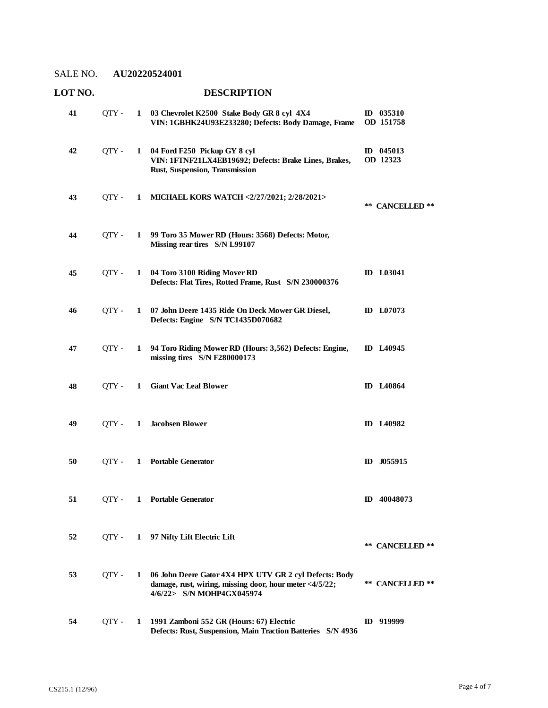# **LOT NO. DESCRIPTION 03 Chevrolet K2500 Stake Body GR 8 cyl 4X4**  QTY - **1 ID 035310 VIN: 1GBHK24U93E233280; Defects: Body Damage, Frame OD 151758 41 04 Ford F250 Pickup GY 8 cyl**  QTY - **1 ID 045013 VIN: 1FTNF21LX4EB19692; Defects: Brake Lines, Brakes, Rust, Suspension, Transmission OD 12323 42** QTY - **1 MICHAEL KORS WATCH <2/27/2021; 2/28/2021> \*\* CANCELLED \*\* 43 99 Toro 35 Mower RD (Hours: 3568) Defects: Motor, Missing rear tires S/N L99107 44** QTY - **1 04 Toro 3100 Riding Mover RD 45** QTY - **1 ID L03041 Defects: Flat Tires, Rotted Frame, Rust S/N 230000376 07 John Deere 1435 Ride On Deck Mower GR Diesel, 46** QTY - **1 ID L07073 Defects: Engine S/N TC1435D070682 94 Toro Riding Mower RD (Hours: 3,562) Defects: Engine, 47** QTY - **1 ID L40945 missing tires S/N F280000173 48** QTY - **1 Giant Vac Leaf Blower ID L40864 49** QTY - **1 Jacobsen Blower ID L40982 50** QTY - **1 Portable Generator ID J055915 51** QTY - **1 Portable Generator ID 40048073** QTY - **1 97 Nifty Lift Electric Lift \*\* CANCELLED \*\* 52 06 John Deere Gator 4X4 HPX UTV GR 2 cyl Defects: Body damage, rust, wiring, missing door, hour meter <4/5/22; 4/6/22> S/N MOHP4GX045974** QTY - **1 \*\* CANCELLED \*\* 53 1991 Zamboni 552 GR (Hours: 67) Electric 54** QTY - **1 ID 919999 Defects: Rust, Suspension, Main Traction Batteries S/N 4936**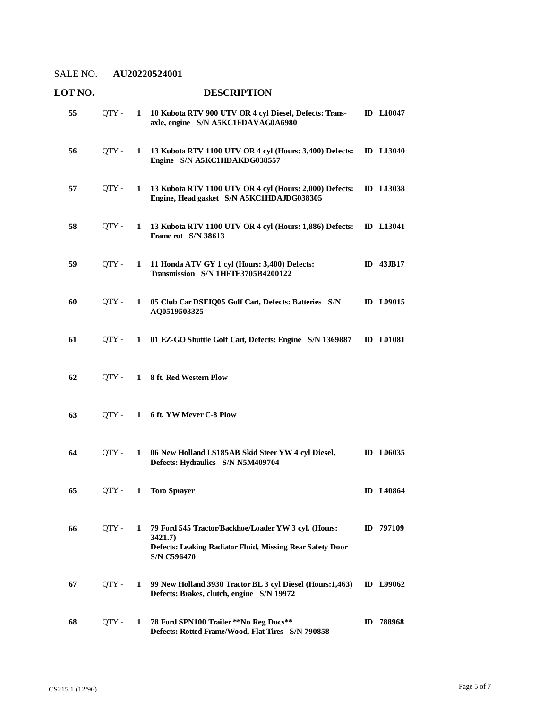| LOT NO. |       |              | <b>DESCRIPTION</b>                                                                                                                                 |              |                  |
|---------|-------|--------------|----------------------------------------------------------------------------------------------------------------------------------------------------|--------------|------------------|
| 55      | QTY - | $\mathbf{1}$ | 10 Kubota RTV 900 UTV OR 4 cyl Diesel, Defects: Trans-<br>axle, engine S/N A5KC1FDAVAG0A6980                                                       |              | ID $L10047$      |
| 56      | QTY - | 1            | 13 Kubota RTV 1100 UTV OR 4 cyl (Hours: 3,400) Defects:<br>Engine S/N A5KC1HDAKDG038557                                                            |              | <b>ID</b> L13040 |
| 57      | QTY - |              | 1 13 Kubota RTV 1100 UTV OR 4 cyl (Hours: 2,000) Defects:<br>Engine, Head gasket S/N A5KC1HDAJDG038305                                             |              | <b>ID</b> L13038 |
| 58      | OTY - | $\mathbf{1}$ | 13 Kubota RTV 1100 UTV OR 4 cyl (Hours: 1,886) Defects:<br>Frame rot S/N 38613                                                                     |              | <b>ID</b> L13041 |
| 59      | OTY - | 1            | 11 Honda ATV GY 1 cyl (Hours: 3,400) Defects:<br>Transmission S/N 1HFTE3705B4200122                                                                |              | ID $43JB17$      |
| 60      | QTY - | 1            | 05 Club Car DSEIQ05 Golf Cart, Defects: Batteries S/N<br>AQ0519503325                                                                              |              | <b>ID</b> L09015 |
| 61      | OTY - | 1            | 01 EZ-GO Shuttle Golf Cart, Defects: Engine S/N 1369887                                                                                            |              | <b>ID</b> L01081 |
| 62      | OTY - | $\mathbf{1}$ | 8 ft. Red Western Plow                                                                                                                             |              |                  |
| 63      | OTY - | $\mathbf{1}$ | 6 ft. YW Mever C-8 Plow                                                                                                                            |              |                  |
| 64      | OTY - | $\mathbf{1}$ | 06 New Holland LS185AB Skid Steer YW 4 cyl Diesel,<br>Defects: Hydraulics S/N N5M409704                                                            |              | ID L06035        |
| 65      | QTY - | 1            | <b>Toro Sprayer</b>                                                                                                                                |              | ID L40864        |
| 66      | QTY - | 1            | 79 Ford 545 Tractor/Backhoe/Loader YW 3 cyl. (Hours:<br>3421.7)<br>Defects: Leaking Radiator Fluid, Missing Rear Safety Door<br><b>S/N C596470</b> |              | ID 797109        |
| 67      | QTY - | 1            | 99 New Holland 3930 Tractor BL 3 cyl Diesel (Hours:1,463)<br>Defects: Brakes, clutch, engine S/N 19972                                             |              | ID L99062        |
| 68      | QTY - | 1            | 78 Ford SPN100 Trailer ** No Reg Docs**<br>Defects: Rotted Frame/Wood, Flat Tires S/N 790858                                                       | $\mathbf{D}$ | 788968           |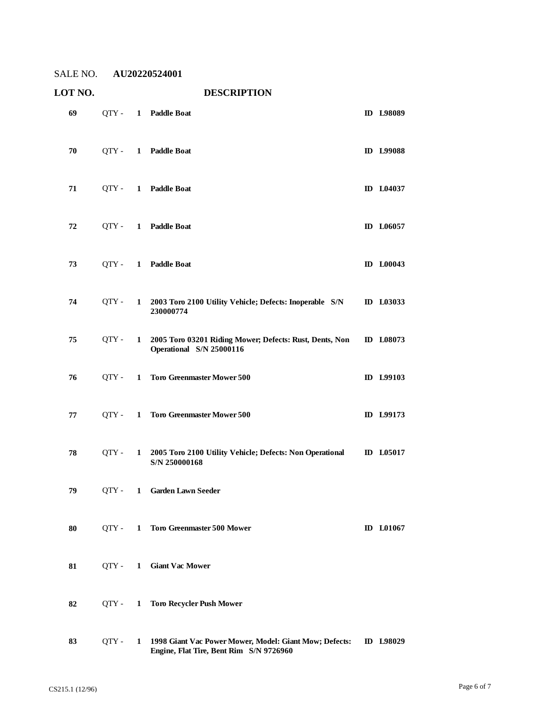| LOT NO.<br><b>DESCRIPTION</b> |       |              |                                                                                                   |  |                  |
|-------------------------------|-------|--------------|---------------------------------------------------------------------------------------------------|--|------------------|
| 69                            | QTY-  |              | 1 Paddle Boat                                                                                     |  | <b>ID</b> L98089 |
| 70                            | QTY - |              | 1 Paddle Boat                                                                                     |  | <b>ID</b> L99088 |
| 71                            | QTY - |              | 1 Paddle Boat                                                                                     |  | ID L04037        |
| 72                            | QTY - |              | 1 Paddle Boat                                                                                     |  | ID L06057        |
| 73                            | OTY - |              | 1 Paddle Boat                                                                                     |  | <b>ID</b> L00043 |
| 74                            | OTY - | 1            | 2003 Toro 2100 Utility Vehicle; Defects: Inoperable S/N<br>230000774                              |  | ID L03033        |
| 75                            | QTY-  | 1            | 2005 Toro 03201 Riding Mower; Defects: Rust, Dents, Non<br>Operational S/N 25000116               |  | ID L08073        |
| 76                            | OTY - | 1            | <b>Toro Greenmaster Mower 500</b>                                                                 |  | ID L99103        |
| 77                            | QTY - | 1            | <b>Toro Greenmaster Mower 500</b>                                                                 |  | ID L99173        |
| 78                            | OTY - | 1            | 2005 Toro 2100 Utility Vehicle; Defects: Non Operational<br>S/N 250000168                         |  | <b>ID</b> L05017 |
| 79                            | QTY - |              | 1 Garden Lawn Seeder                                                                              |  |                  |
| 80                            | QTY - | 1            | <b>Toro Greenmaster 500 Mower</b>                                                                 |  | <b>ID</b> L01067 |
| 81                            | OTY - | 1            | <b>Giant Vac Mower</b>                                                                            |  |                  |
| 82                            | QTY - | $\mathbf{1}$ | <b>Toro Recycler Push Mower</b>                                                                   |  |                  |
| 83                            | QTY - | 1            | 1998 Giant Vac Power Mower, Model: Giant Mow; Defects:<br>Engine, Flat Tire, Bent Rim S/N 9726960 |  | ID L98029        |